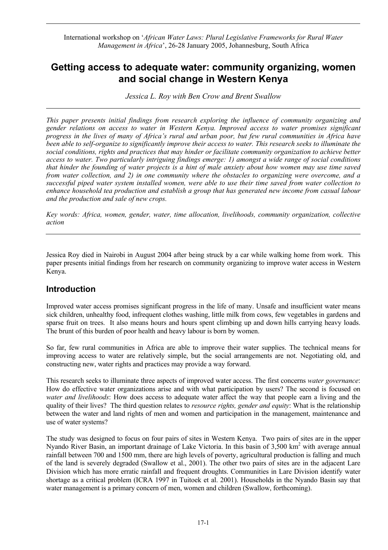International workshop on '*African Water Laws: Plural Legislative Frameworks for Rural Water Management in Africa*', 26-28 January 2005, Johannesburg, South Africa

# **Getting access to adequate water: community organizing, women and social change in Western Kenya**

*Jessica L. Roy with Ben Crow and Brent Swallow* 

*This paper presents initial findings from research exploring the influence of community organizing and gender relations on access to water in Western Kenya. Improved access to water promises significant progress in the lives of many of Africa's rural and urban poor, but few rural communities in Africa have been able to self-organize to significantly improve their access to water. This research seeks to illuminate the social conditions, rights and practices that may hinder or facilitate community organization to achieve better access to water. Two particularly intriguing findings emerge: 1) amongst a wide range of social conditions that hinder the founding of water projects is a hint of male anxiety about how women may use time saved from water collection, and 2) in one community where the obstacles to organizing were overcome, and a successful piped water system installed women, were able to use their time saved from water collection to enhance household tea production and establish a group that has generated new income from casual labour and the production and sale of new crops.* 

*Key words: Africa, women, gender, water, time allocation, livelihoods, community organization, collective action* 

Jessica Roy died in Nairobi in August 2004 after being struck by a car while walking home from work. This paper presents initial findings from her research on community organizing to improve water access in Western Kenya.

## **Introduction**

Improved water access promises significant progress in the life of many. Unsafe and insufficient water means sick children, unhealthy food, infrequent clothes washing, little milk from cows, few vegetables in gardens and sparse fruit on trees. It also means hours and hours spent climbing up and down hills carrying heavy loads. The brunt of this burden of poor health and heavy labour is born by women.

So far, few rural communities in Africa are able to improve their water supplies. The technical means for improving access to water are relatively simple, but the social arrangements are not. Negotiating old, and constructing new, water rights and practices may provide a way forward.

This research seeks to illuminate three aspects of improved water access. The first concerns *water governance*: How do effective water organizations arise and with what participation by users? The second is focused on *water and livelihoods*: How does access to adequate water affect the way that people earn a living and the quality of their lives? The third question relates to *resource rights, gender and equity*: What is the relationship between the water and land rights of men and women and participation in the management, maintenance and use of water systems?

The study was designed to focus on four pairs of sites in Western Kenya. Two pairs of sites are in the upper Nyando River Basin, an important drainage of Lake Victoria. In this basin of 3,500 km<sup>2</sup> with average annual rainfall between 700 and 1500 mm, there are high levels of poverty, agricultural production is falling and much of the land is severely degraded (Swallow et al., 2001). The other two pairs of sites are in the adjacent Lare Division which has more erratic rainfall and frequent droughts. Communities in Lare Division identify water shortage as a critical problem (ICRA 1997 in Tuitoek et al. 2001). Households in the Nyando Basin say that water management is a primary concern of men, women and children (Swallow, forthcoming).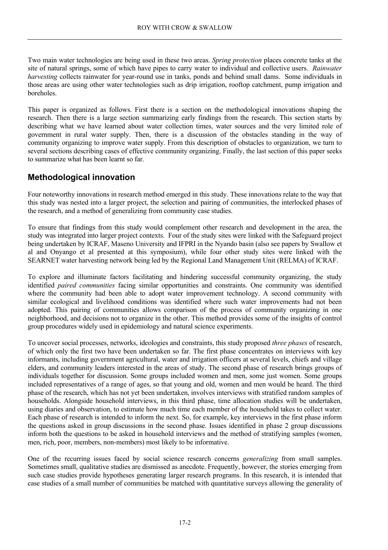Two main water technologies are being used in these two areas. *Spring protection* places concrete tanks at the site of natural springs, some of which have pipes to carry water to individual and collective users. *Rainwater harvesting* collects rainwater for year-round use in tanks, ponds and behind small dams. Some individuals in those areas are using other water technologies such as drip irrigation, rooftop catchment, pump irrigation and boreholes.

This paper is organized as follows. First there is a section on the methodological innovations shaping the research. Then there is a large section summarizing early findings from the research. This section starts by describing what we have learned about water collection times, water sources and the very limited role of government in rural water supply. Then, there is a discussion of the obstacles standing in the way of community organizing to improve water supply. From this description of obstacles to organization, we turn to several sections describing cases of effective community organizing. Finally, the last section of this paper seeks to summarize what has been learnt so far.

## **Methodological innovation**

Four noteworthy innovations in research method emerged in this study. These innovations relate to the way that this study was nested into a larger project, the selection and pairing of communities, the interlocked phases of the research, and a method of generalizing from community case studies.

To ensure that findings from this study would complement other research and development in the area, the study was integrated into larger project contexts. Four of the study sites were linked with the Safeguard project being undertaken by ICRAF, Maseno University and IFPRI in the Nyando basin (also see papers by Swallow et al and Onyango et al presented at this symposium), while four other study sites were linked with the SEARNET water harvesting network being led by the Regional Land Management Unit (RELMA) of ICRAF.

To explore and illuminate factors facilitating and hindering successful community organizing, the study identified *paired communities* facing similar opportunities and constraints. One community was identified where the community had been able to adopt water improvement technology. A second community with similar ecological and livelihood conditions was identified where such water improvements had not been adopted. This pairing of communities allows comparison of the process of community organizing in one neighborhood, and decisions not to organize in the other. This method provides some of the insights of control group procedures widely used in epidemiology and natural science experiments.

To uncover social processes, networks, ideologies and constraints, this study proposed *three phases* of research, of which only the first two have been undertaken so far. The first phase concentrates on interviews with key informants, including government agricultural, water and irrigation officers at several levels, chiefs and village elders, and community leaders interested in the areas of study. The second phase of research brings groups of individuals together for discussion. Some groups included women and men, some just women. Some groups included representatives of a range of ages, so that young and old, women and men would be heard. The third phase of the research, which has not yet been undertaken, involves interviews with stratified random samples of households. Alongside household interviews, in this third phase, time allocation studies will be undertaken, using diaries and observation, to estimate how much time each member of the household takes to collect water. Each phase of research is intended to inform the next. So, for example, key interviews in the first phase inform the questions asked in group discussions in the second phase. Issues identified in phase 2 group discussions inform both the questions to be asked in household interviews and the method of stratifying samples (women, men, rich, poor, members, non-members) most likely to be informative.

One of the recurring issues faced by social science research concerns *generalizing* from small samples. Sometimes small, qualitative studies are dismissed as anecdote. Frequently, however, the stories emerging from such case studies provide hypotheses generating larger research programs. In this research, it is intended that case studies of a small number of communities be matched with quantitative surveys allowing the generality of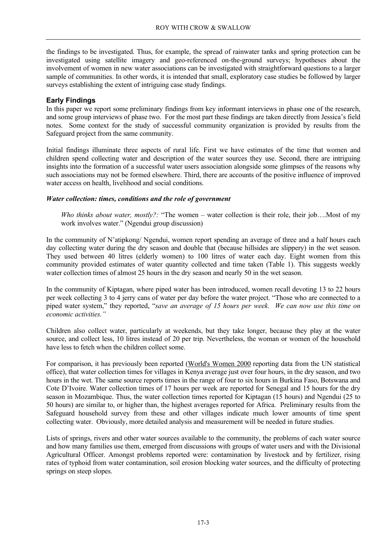the findings to be investigated. Thus, for example, the spread of rainwater tanks and spring protection can be investigated using satellite imagery and geo-referenced on-the-ground surveys; hypotheses about the involvement of women in new water associations can be investigated with straightforward questions to a larger sample of communities. In other words, it is intended that small, exploratory case studies be followed by larger surveys establishing the extent of intriguing case study findings.

### **Early Findings**

In this paper we report some preliminary findings from key informant interviews in phase one of the research, and some group interviews of phase two. For the most part these findings are taken directly from Jessica's field notes. Some context for the study of successful community organization is provided by results from the Safeguard project from the same community.

Initial findings illuminate three aspects of rural life. First we have estimates of the time that women and children spend collecting water and description of the water sources they use. Second, there are intriguing insights into the formation of a successful water users association alongside some glimpses of the reasons why such associations may not be formed elsewhere. Third, there are accounts of the positive influence of improved water access on health, livelihood and social conditions.

### *Water collection: times, conditions and the role of government*

*Who thinks about water, mostly?:* "The women – water collection is their role, their job….Most of my work involves water." (Ngendui group discussion)

In the community of N'atipkong/ Ngendui, women report spending an average of three and a half hours each day collecting water during the dry season and double that (because hillsides are slippery) in the wet season. They used between 40 litres (elderly women) to 100 litres of water each day. Eight women from this community provided estimates of water quantity collected and time taken (Table 1). This suggests weekly water collection times of almost 25 hours in the dry season and nearly 50 in the wet season.

In the community of Kiptagan, where piped water has been introduced, women recall devoting 13 to 22 hours per week collecting 3 to 4 jerry cans of water per day before the water project. "Those who are connected to a piped water system," they reported, "*save an average of 15 hours per week. We can now use this time on economic activities."*

Children also collect water, particularly at weekends, but they take longer, because they play at the water source, and collect less, 10 litres instead of 20 per trip. Nevertheless, the woman or women of the household have less to fetch when the children collect some.

For comparison, it has previously been reported (World's Women 2000 reporting data from the UN statistical office), that water collection times for villages in Kenya average just over four hours, in the dry season, and two hours in the wet. The same source reports times in the range of four to six hours in Burkina Faso, Botswana and Cote D'Ivoire. Water collection times of 17 hours per week are reported for Senegal and 15 hours for the dry season in Mozambique. Thus, the water collection times reported for Kiptagan (15 hours) and Ngendui (25 to 50 hours) are similar to, or higher than, the highest averages reported for Africa. Preliminary results from the Safeguard household survey from these and other villages indicate much lower amounts of time spent collecting water. Obviously, more detailed analysis and measurement will be needed in future studies.

Lists of springs, rivers and other water sources available to the community, the problems of each water source and how many families use them, emerged from discussions with groups of water users and with the Divisional Agricultural Officer. Amongst problems reported were: contamination by livestock and by fertilizer, rising rates of typhoid from water contamination, soil erosion blocking water sources, and the difficulty of protecting springs on steep slopes.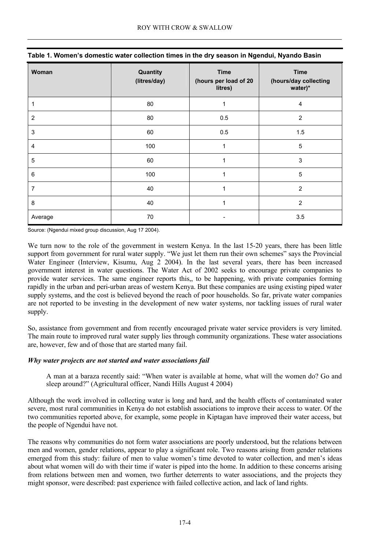| Woman          | Quantity<br>(litres/day) | <b>Time</b><br>(hours per load of 20<br>litres) | <b>Time</b><br>(hours/day collecting<br>water)* |
|----------------|--------------------------|-------------------------------------------------|-------------------------------------------------|
|                | 80                       | 1                                               | 4                                               |
| $\overline{2}$ | 80                       | 0.5                                             | $\overline{2}$                                  |
| $\sqrt{3}$     | 60                       | 0.5                                             | 1.5                                             |
| 4              | 100                      | 1                                               | 5                                               |
| 5              | 60                       |                                                 | 3                                               |
| $\,6$          | 100                      | 1                                               | 5                                               |
| 7              | 40                       | 1                                               | $\overline{2}$                                  |
| 8              | 40                       | 1                                               | $\overline{2}$                                  |
| Average        | 70                       |                                                 | 3.5                                             |

Source: (Ngendui mixed group discussion, Aug 17 2004).

We turn now to the role of the government in western Kenya. In the last 15-20 years, there has been little support from government for rural water supply. "We just let them run their own schemes" says the Provincial Water Engineer (Interview, Kisumu, Aug 2 2004). In the last several years, there has been increased government interest in water questions. The Water Act of 2002 seeks to encourage private companies to provide water services. The same engineer reports this,, to be happening, with private companies forming rapidly in the urban and peri-urban areas of western Kenya. But these companies are using existing piped water supply systems, and the cost is believed beyond the reach of poor households. So far, private water companies are not reported to be investing in the development of new water systems, nor tackling issues of rural water supply.

So, assistance from government and from recently encouraged private water service providers is very limited. The main route to improved rural water supply lies through community organizations. These water associations are, however, few and of those that are started many fail.

### *Why water projects are not started and water associations fail*

A man at a baraza recently said: "When water is available at home, what will the women do? Go and sleep around?" (Agricultural officer, Nandi Hills August 4 2004)

Although the work involved in collecting water is long and hard, and the health effects of contaminated water severe, most rural communities in Kenya do not establish associations to improve their access to water. Of the two communities reported above, for example, some people in Kiptagan have improved their water access, but the people of Ngendui have not.

The reasons why communities do not form water associations are poorly understood, but the relations between men and women, gender relations, appear to play a significant role. Two reasons arising from gender relations emerged from this study: failure of men to value women's time devoted to water collection, and men's ideas about what women will do with their time if water is piped into the home. In addition to these concerns arising from relations between men and women, two further deterrents to water associations, and the projects they might sponsor, were described: past experience with failed collective action, and lack of land rights.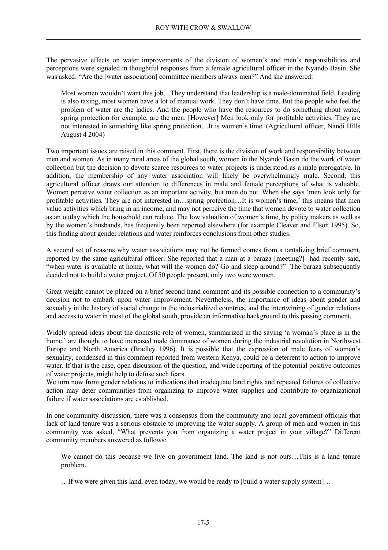The pervasive effects on water improvements of the division of women's and men's responsibilities and perceptions were signaled in thoughtful responses from a female agricultural officer in the Nyando Basin. She was asked: "Are the [water association] committee members always men?" And she answered:

Most women wouldn't want this job...They understand that leadership is a male-dominated field. Leading is also taxing, most women have a lot of manual work. They don't have time. But the people who feel the problem of water are the ladies. And the people who have the resources to do something about water, spring protection for example, are the men. [However] Men look only for profitable activities. They are not interested in something like spring protection…It is women's time. (Agricultural officer, Nandi Hills August 4 2004)

Two important issues are raised in this comment. First, there is the division of work and responsibility between men and women. As in many rural areas of the global south, women in the Nyando Basin do the work of water collection but the decision to devote scarce resources to water projects is understood as a male prerogative. In addition, the membership of any water association will likely be overwhelmingly male. Second, this agricultural officer draws our attention to differences in male and female perceptions of what is valuable. Women perceive water collection as an important activity, but men do not. When she says 'men look only for profitable activities. They are not interested in…spring protection…It is women's time,' this means that men value activities which bring in an income, and may not perceive the time that women devote to water collection as an outlay which the household can reduce. The low valuation of women's time, by policy makers as well as by the women's husbands, has frequently been reported elsewhere (for example Cleaver and Elson 1995). So, this finding about gender relations and water reinforces conclusions from other studies.

A second set of reasons why water associations may not be formed comes from a tantalizing brief comment, reported by the same agricultural officer. She reported that a man at a baraza [meeting?] had recently said, "when water is available at home, what will the women do? Go and sleep around?" The baraza subsequently decided not to build a water project. Of 50 people present, only two were women.

Great weight cannot be placed on a brief second hand comment and its possible connection to a community's decision not to embark upon water improvement. Nevertheless, the importance of ideas about gender and sexuality in the history of social change in the industrialized countries, and the intertwining of gender relations and access to water in most of the global south, provide an informative background to this passing comment.

Widely spread ideas about the domestic role of women, summarized in the saying 'a woman's place is in the home,' are thought to have increased male dominance of women during the industrial revolution in Northwest Europe and North America (Bradley 1996). It is possible that the expression of male fears of women's sexuality, condensed in this comment reported from western Kenya, could be a deterrent to action to improve water. If that is the case, open discussion of the question, and wide reporting of the potential positive outcomes of water projects, might help to defuse such fears.

We turn now from gender relations to indications that inadequate land rights and repeated failures of collective action may deter communities from organizing to improve water supplies and contribute to organizational failure if water associations are established.

In one community discussion, there was a consensus from the community and local government officials that lack of land tenure was a serious obstacle to improving the water supply. A group of men and women in this community was asked, "What prevents you from organizing a water project in your village?" Different community members answered as follows:

We cannot do this because we live on government land. The land is not ours…This is a land tenure problem.

…If we were given this land, even today, we would be ready to [build a water supply system]…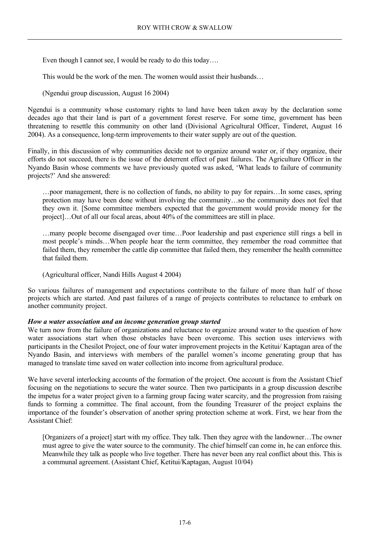Even though I cannot see, I would be ready to do this today....

This would be the work of the men. The women would assist their husbands…

(Ngendui group discussion, August 16 2004)

Ngendui is a community whose customary rights to land have been taken away by the declaration some decades ago that their land is part of a government forest reserve. For some time, government has been threatening to resettle this community on other land (Divisional Agricultural Officer, Tinderet, August 16 2004). As a consequence, long-term improvements to their water supply are out of the question.

Finally, in this discussion of why communities decide not to organize around water or, if they organize, their efforts do not succeed, there is the issue of the deterrent effect of past failures. The Agriculture Officer in the Nyando Basin whose comments we have previously quoted was asked, 'What leads to failure of community projects?' And she answered:

…poor management, there is no collection of funds, no ability to pay for repairs…In some cases, spring protection may have been done without involving the community…so the community does not feel that they own it. [Some committee members expected that the government would provide money for the project]…Out of all our focal areas, about 40% of the committees are still in place.

…many people become disengaged over time…Poor leadership and past experience still rings a bell in most people's minds…When people hear the term committee, they remember the road committee that failed them, they remember the cattle dip committee that failed them, they remember the health committee that failed them.

(Agricultural officer, Nandi Hills August 4 2004)

So various failures of management and expectations contribute to the failure of more than half of those projects which are started. And past failures of a range of projects contributes to reluctance to embark on another community project.

#### *How a water association and an income generation group started*

We turn now from the failure of organizations and reluctance to organize around water to the question of how water associations start when those obstacles have been overcome. This section uses interviews with participants in the Chesilot Project, one of four water improvement projects in the Ketitui/ Kaptagan area of the Nyando Basin, and interviews with members of the parallel women's income generating group that has managed to translate time saved on water collection into income from agricultural produce.

We have several interlocking accounts of the formation of the project. One account is from the Assistant Chief focusing on the negotiations to secure the water source. Then two participants in a group discussion describe the impetus for a water project given to a farming group facing water scarcity, and the progression from raising funds to forming a committee. The final account, from the founding Treasurer of the project explains the importance of the founder's observation of another spring protection scheme at work. First, we hear from the Assistant Chief:

[Organizers of a project] start with my office. They talk. Then they agree with the landowner…The owner must agree to give the water source to the community. The chief himself can come in, he can enforce this. Meanwhile they talk as people who live together. There has never been any real conflict about this. This is a communal agreement. (Assistant Chief, Ketitui/Kaptagan, August 10/04)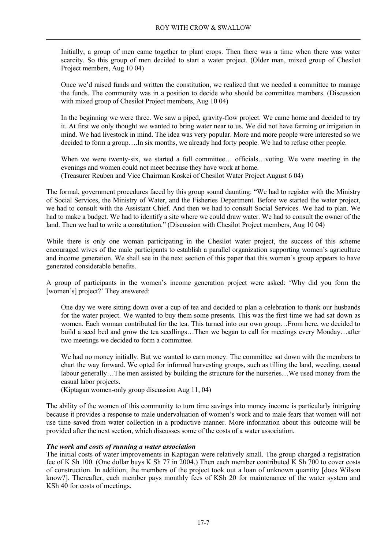Initially, a group of men came together to plant crops. Then there was a time when there was water scarcity. So this group of men decided to start a water project. (Older man, mixed group of Chesilot Project members, Aug 10 04)

Once we'd raised funds and written the constitution, we realized that we needed a committee to manage the funds. The community was in a position to decide who should be committee members. (Discussion with mixed group of Chesilot Project members, Aug 10 04)

In the beginning we were three. We saw a piped, gravity-flow project. We came home and decided to try it. At first we only thought we wanted to bring water near to us. We did not have farming or irrigation in mind. We had livestock in mind. The idea was very popular. More and more people were interested so we decided to form a group….In six months, we already had forty people. We had to refuse other people.

When we were twenty-six, we started a full committee... officials...voting. We were meeting in the evenings and women could not meet because they have work at home. (Treasurer Reuben and Vice Chairman Koskei of Chesilot Water Project August 6 04)

The formal, government procedures faced by this group sound daunting: "We had to register with the Ministry of Social Services, the Ministry of Water, and the Fisheries Department. Before we started the water project, we had to consult with the Assistant Chief. And then we had to consult Social Services. We had to plan. We had to make a budget. We had to identify a site where we could draw water. We had to consult the owner of the land. Then we had to write a constitution." (Discussion with Chesilot Project members, Aug 10 04)

While there is only one woman participating in the Chesilot water project, the success of this scheme encouraged wives of the male participants to establish a parallel organization supporting women's agriculture and income generation. We shall see in the next section of this paper that this women's group appears to have generated considerable benefits.

A group of participants in the women's income generation project were asked: 'Why did you form the [women's] project?' They answered:

One day we were sitting down over a cup of tea and decided to plan a celebration to thank our husbands for the water project. We wanted to buy them some presents. This was the first time we had sat down as women. Each woman contributed for the tea. This turned into our own group…From here, we decided to build a seed bed and grow the tea seedlings…Then we began to call for meetings every Monday…after two meetings we decided to form a committee.

We had no money initially. But we wanted to earn money. The committee sat down with the members to chart the way forward. We opted for informal harvesting groups, such as tilling the land, weeding, casual labour generally…The men assisted by building the structure for the nurseries…We used money from the casual labor projects.

(Kiptagan women-only group discussion Aug 11, 04)

The ability of the women of this community to turn time savings into money income is particularly intriguing because it provides a response to male undervaluation of women's work and to male fears that women will not use time saved from water collection in a productive manner. More information about this outcome will be provided after the next section, which discusses some of the costs of a water association.

#### *The work and costs of running a water association*

The initial costs of water improvements in Kaptagan were relatively small. The group charged a registration fee of K Sh 100. (One dollar buys K Sh 77 in 2004.) Then each member contributed K Sh 700 to cover costs of construction. In addition, the members of the project took out a loan of unknown quantity [does Wilson know?]. Thereafter, each member pays monthly fees of KSh 20 for maintenance of the water system and KSh 40 for costs of meetings.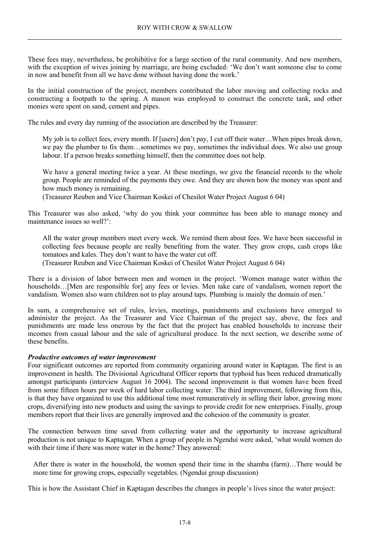These fees may, nevertheless, be prohibitive for a large section of the rural community. And new members, with the exception of wives joining by marriage, are being excluded: 'We don't want someone else to come in now and benefit from all we have done without having done the work.'

In the initial construction of the project, members contributed the labor moving and collecting rocks and constructing a footpath to the spring. A mason was employed to construct the concrete tank, and other monies were spent on sand, cement and pipes.

The rules and every day running of the association are described by the Treasurer:

My job is to collect fees, every month. If [users] don't pay, I cut off their water…When pipes break down, we pay the plumber to fix them…sometimes we pay, sometimes the individual does. We also use group labour. If a person breaks something himself, then the committee does not help.

We have a general meeting twice a year. At these meetings, we give the financial records to the whole group. People are reminded of the payments they owe. And they are shown how the money was spent and how much money is remaining.

(Treasurer Reuben and Vice Chairman Koskei of Chesilot Water Project August 6 04)

This Treasurer was also asked, 'why do you think your committee has been able to manage money and maintenance issues so well?':

All the water group members meet every week. We remind them about fees. We have been successful in collecting fees because people are really benefiting from the water. They grow crops, cash crops like tomatoes and kales. They don't want to have the water cut off.

(Treasurer Reuben and Vice Chairman Koskei of Chesilot Water Project August 6 04)

There is a division of labor between men and women in the project. 'Women manage water within the households…[Men are responsible for] any fees or levies. Men take care of vandalism, women report the vandalism. Women also warn children not to play around taps. Plumbing is mainly the domain of men.'

In sum, a comprehensive set of rules, levies, meetings, punishments and exclusions have emerged to administer the project. As the Treasurer and Vice Chairman of the project say, above, the fees and punishments are made less onerous by the fact that the project has enabled households to increase their incomes from casual labour and the sale of agricultural produce. In the next section, we describe some of these benefits.

#### *Productive outcomes of water improvement*

Four significant outcomes are reported from community organizing around water in Kaptagan. The first is an improvement in health. The Divisional Agricultural Officer reports that typhoid has been reduced dramatically amongst participants (interview August 16 2004). The second improvement is that women have been freed from some fifteen hours per week of hard labor collecting water. The third improvement, following from this, is that they have organized to use this additional time most remuneratively in selling their labor, growing more crops, diversifying into new products and using the savings to provide credit for new enterprises. Finally, group members report that their lives are generally improved and the cohesion of the community is greater.

The connection between time saved from collecting water and the opportunity to increase agricultural production is not unique to Kaptagan. When a group of people in Ngendui were asked, 'what would women do with their time if there was more water in the home? They answered:

After there is water in the household, the women spend their time in the shamba (farm)…There would be more time for growing crops, especially vegetables. (Ngendui group discussion)

This is how the Assistant Chief in Kaptagan describes the changes in people's lives since the water project: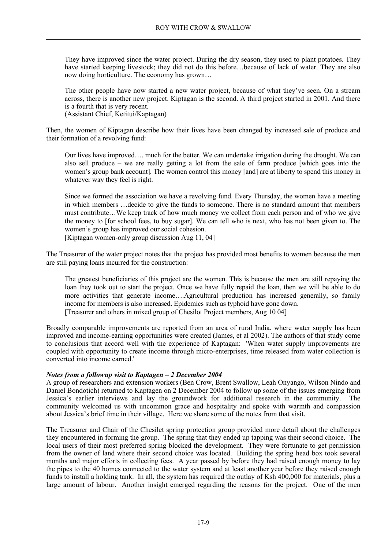They have improved since the water project. During the dry season, they used to plant potatoes. They have started keeping livestock; they did not do this before...because of lack of water. They are also now doing horticulture. The economy has grown…

The other people have now started a new water project, because of what they've seen. On a stream across, there is another new project. Kiptagan is the second. A third project started in 2001. And there is a fourth that is very recent. (Assistant Chief, Ketitui/Kaptagan)

Then, the women of Kiptagan describe how their lives have been changed by increased sale of produce and their formation of a revolving fund:

Our lives have improved…. much for the better. We can undertake irrigation during the drought. We can also sell produce – we are really getting a lot from the sale of farm produce [which goes into the women's group bank account]. The women control this money [and] are at liberty to spend this money in whatever way they feel is right.

Since we formed the association we have a revolving fund. Every Thursday, the women have a meeting in which members …decide to give the funds to someone. There is no standard amount that members must contribute…We keep track of how much money we collect from each person and of who we give the money to [for school fees, to buy sugar]. We can tell who is next, who has not been given to. The women's group has improved our social cohesion.

[Kiptagan women-only group discussion Aug 11, 04]

The Treasurer of the water project notes that the project has provided most benefits to women because the men are still paying loans incurred for the construction:

The greatest beneficiaries of this project are the women. This is because the men are still repaying the loan they took out to start the project. Once we have fully repaid the loan, then we will be able to do more activities that generate income….Agricultural production has increased generally, so family income for members is also increased. Epidemics such as typhoid have gone down. [Treasurer and others in mixed group of Chesilot Project members, Aug 10 04]

Broadly comparable improvements are reported from an area of rural India. where water supply has been improved and income-earning opportunities were created (James, et al 2002). The authors of that study come to conclusions that accord well with the experience of Kaptagan: 'When water supply improvements are coupled with opportunity to create income through micro-enterprises, time released from water collection is converted into income earned.'

#### *Notes from a followup visit to Kaptagen – 2 December 2004*

A group of researchers and extension workers (Ben Crow, Brent Swallow, Leah Onyango, Wilson Nindo and Daniel Bondotich) returned to Kaptagen on 2 December 2004 to follow up some of the issues emerging from Jessica's earlier interviews and lay the groundwork for additional research in the community. The community welcomed us with uncommon grace and hospitality and spoke with warmth and compassion about Jessica's brief time in their village. Here we share some of the notes from that visit.

The Treasurer and Chair of the Chesilet spring protection group provided more detail about the challenges they encountered in forming the group. The spring that they ended up tapping was their second choice. The local users of their most preferred spring blocked the development. They were fortunate to get permission from the owner of land where their second choice was located. Building the spring head box took several months and major efforts in collecting fees. A year passed by before they had raised enough money to lay the pipes to the 40 homes connected to the water system and at least another year before they raised enough funds to install a holding tank. In all, the system has required the outlay of Ksh 400,000 for materials, plus a large amount of labour. Another insight emerged regarding the reasons for the project. One of the men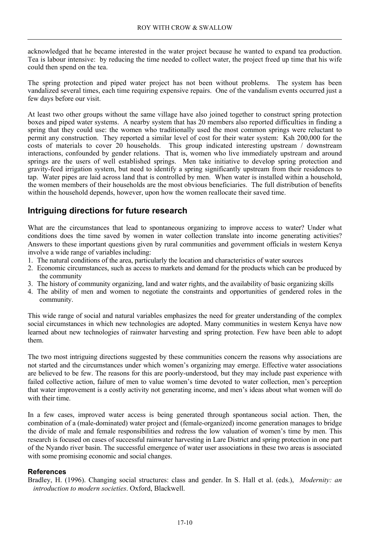acknowledged that he became interested in the water project because he wanted to expand tea production. Tea is labour intensive: by reducing the time needed to collect water, the project freed up time that his wife could then spend on the tea.

The spring protection and piped water project has not been without problems. The system has been vandalized several times, each time requiring expensive repairs. One of the vandalism events occurred just a few days before our visit.

At least two other groups without the same village have also joined together to construct spring protection boxes and piped water systems. A nearby system that has 20 members also reported difficulties in finding a spring that they could use: the women who traditionally used the most common springs were reluctant to permit any construction. They reported a similar level of cost for their water system: Ksh 200,000 for the costs of materials to cover 20 households. This group indicated interesting upstream / downstream interactions, confounded by gender relations. That is, women who live immediately upstream and around springs are the users of well established springs. Men take initiative to develop spring protection and gravity-feed irrigation system, but need to identify a spring significantly upstream from their residences to tap. Water pipes are laid across land that is controlled by men. When water is installed within a household, the women members of their households are the most obvious beneficiaries. The full distribution of benefits within the household depends, however, upon how the women reallocate their saved time.

## **Intriguing directions for future research**

What are the circumstances that lead to spontaneous organizing to improve access to water? Under what conditions does the time saved by women in water collection translate into income generating activities? Answers to these important questions given by rural communities and government officials in western Kenya involve a wide range of variables including:

- 1. The natural conditions of the area, particularly the location and characteristics of water sources
- 2. Economic circumstances, such as access to markets and demand for the products which can be produced by the community
- 3. The history of community organizing, land and water rights, and the availability of basic organizing skills
- 4. The ability of men and women to negotiate the constraints and opportunities of gendered roles in the community.

This wide range of social and natural variables emphasizes the need for greater understanding of the complex social circumstances in which new technologies are adopted. Many communities in western Kenya have now learned about new technologies of rainwater harvesting and spring protection. Few have been able to adopt them.

The two most intriguing directions suggested by these communities concern the reasons why associations are not started and the circumstances under which women's organizing may emerge. Effective water associations are believed to be few. The reasons for this are poorly-understood, but they may include past experience with failed collective action, failure of men to value women's time devoted to water collection, men's perception that water improvement is a costly activity not generating income, and men's ideas about what women will do with their time.

In a few cases, improved water access is being generated through spontaneous social action. Then, the combination of a (male-dominated) water project and (female-organized) income generation manages to bridge the divide of male and female responsibilities and redress the low valuation of women's time by men. This research is focused on cases of successful rainwater harvesting in Lare District and spring protection in one part of the Nyando river basin. The successful emergence of water user associations in these two areas is associated with some promising economic and social changes.

#### **References**

Bradley, H. (1996). Changing social structures: class and gender. In S. Hall et al. (eds.), *Modernity: an introduction to modern societies*. Oxford, Blackwell.